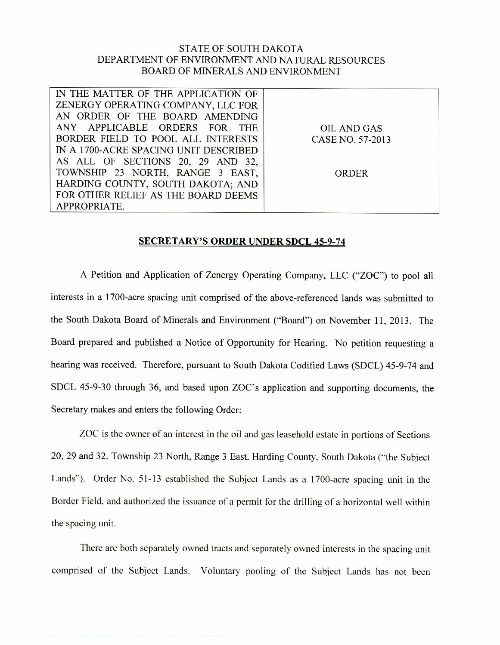## STATE OF SOUTH DAKOTA DEPARTMENT OF ENVIRONMENT AND NATURAL RESOURCES BOARD OF MINERALS AND ENVIRONMENT

| IN THE MATTER OF THE APPLICATION OF   |                  |
|---------------------------------------|------------------|
| ZENERGY OPERATING COMPANY, LLC FOR    |                  |
| AN ORDER OF THE BOARD AMENDING        |                  |
| ANY APPLICABLE ORDERS FOR THE         | OIL AND GAS      |
| BORDER FIELD TO POOL ALL INTERESTS    | CASE NO. 57-2013 |
| IN A 1700-ACRE SPACING UNIT DESCRIBED |                  |
| AS ALL OF SECTIONS 20, 29 AND 32,     |                  |
| TOWNSHIP 23 NORTH, RANGE 3 EAST,      | <b>ORDER</b>     |
| HARDING COUNTY, SOUTH DAKOTA; AND     |                  |
| FOR OTHER RELIEF AS THE BOARD DEEMS   |                  |
| APPROPRIATE.                          |                  |

## SECRETARY'S ORDER UNDER SDCL 45-9-74

A Petition and Application of Zenergy Operating Company, LLC ("ZOC") to pool all interests in a 1700-acre spacing unit comprised of the above-referenced lands was submitted to the South Dakota Board of Minerals and Environment ("Board") on November 11, 2013. The Board prepared and published a Notice of Opportunity for Hearing. No petition requesting a hearing was received. Therefore, pursuant to South Dakota Codified Laws (SDCL) 45-9-74 and SDCL 45-9-30 through 36, and based upon ZOC's application and supporting documents, the Secretary makes and enters the following Order:

ZOC is the owner of an interest in the oil and gas leasehold estate in portions of Sections 20, 29 and 32, Township 23 North, Range 3 East, Harding County, South Dakota ("the Subject Lands"). Order No. 51-13 established the Subject Lands as a 1700-acre spacing unit in the Border Field, and authorized the issuance of a permit for the drilling of a horizontal well within the spacing unit.

There are both separately owned tracts and separately owned interests in the spacing unit comprised of the Subject Lands. Voluntary pooling of the Subject Lands has not been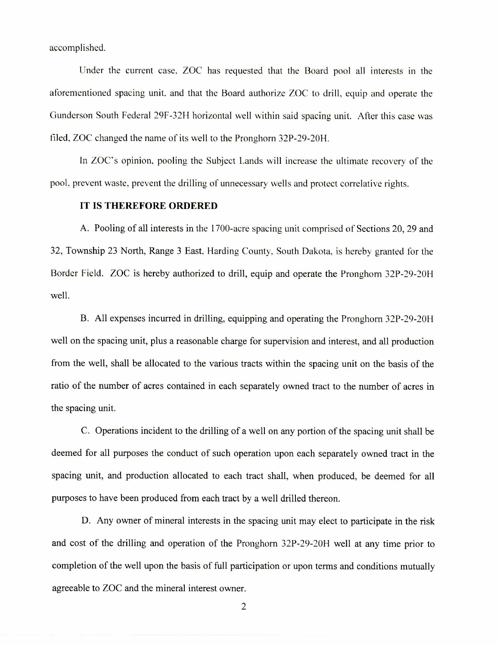accomplished.

Under the current case, ZOC has requested that the Board pool all interests in the aforementioned spacing unit, and that the Board authorize ZOC to drill, equip and operate the Gunderson South Federal 29F-32H horizontal well within said spacing unit. After this case was filed, ZOC changed the name of its well to the Pronghorn 32P-29-20H.

In ZOC's opinion, pooling the Subject Lands will increase the ultimate recovery of the pool, prevent waste, prevent the drilling of unnecessary wells and protect correlative rights.

## **IT IS THEREFORE ORDERED**

A. Pooling of all interests in the 1700-acre spacing unit comprised of Sections 20, 29 and 32, Township 23 North, Range 3 East, Harding County, South Dakota, is hereby granted for the Border Field. ZOC is hereby authorized to drill, equip and operate the Pronghorn 32P-29-20H well.

B. All expenses incurred in drilling, equipping and operating the Pronghorn 32P-29-20H well on the spacing unit, plus a reasonable charge for supervision and interest, and all production from the well, shall be allocated to the various tracts within the spacing unit on the basis of the ratio of the number of acres contained in each separately owned tract to the number of acres in the spacing unit.

C. Operations incident to the drilling of a well on any portion of the spacing unit shall be deemed for all purposes the conduct of such operation upon each separately owned tract in the spacing unit, and production allocated to each tract shall, when produced, be deemed for all purposes to have been produced from each tract by a well drilled thereon.

D. Any owner of mineral interests in the spacing unit may elect to participate in the risk and cost of the drilling and operation of the Pronghorn 32P-29-20H well at any time prior to completion of the well upon the basis of full participation or upon terms and conditions mutually agreeable to ZOC and the mineral interest owner.